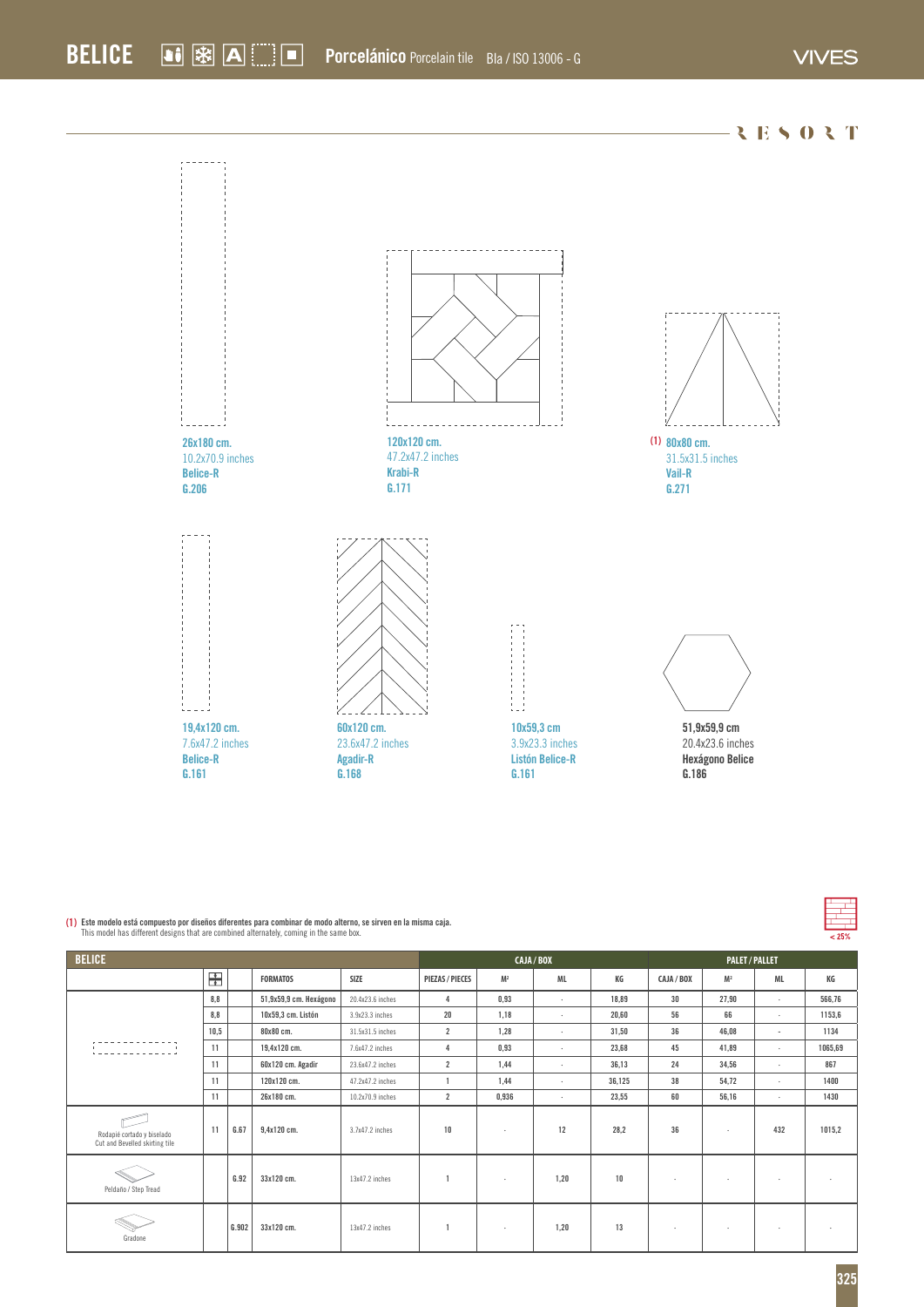

| <b>BELICE</b>                                                |      |       |                        |                  |                        | CAJA / BOX     |                |        |            | <b>PALET/PALLET</b>      |                          |         |  |
|--------------------------------------------------------------|------|-------|------------------------|------------------|------------------------|----------------|----------------|--------|------------|--------------------------|--------------------------|---------|--|
|                                                              | 屶    |       | <b>FORMATOS</b>        | SIZE             | <b>PIEZAS / PIECES</b> | M <sup>2</sup> | ML             | КG     | CAJA / BOX | M <sup>2</sup>           | ML                       | КG      |  |
|                                                              | 8.8  |       | 51,9x59,9 cm. Hexágono | 20.4x23.6 inches | $\overline{4}$         | 0,93           | $\cdot$        | 18.89  | 30         | 27,90                    | $\mathbf{r}$             | 566,76  |  |
|                                                              | 8.8  |       | 10x59,3 cm. Listón     | 3.9x23.3 inches  | 20                     | 1,18           | $\overline{a}$ | 20,60  | 56         | 66                       | $\mathbf{r}$             | 1153,6  |  |
|                                                              | 10,5 |       | 80x80 cm.              | 31.5x31.5 inches | $\overline{2}$         | 1,28           | $\mathbf{r}$   | 31,50  | 36         | 46,08                    | ж.                       | 1134    |  |
|                                                              | 11   |       | 19,4x120 cm.           | 7.6x47.2 inches  | 4                      | 0,93           | $\mathbf{r}$   | 23,68  | 45         | 41,89                    | $\sim$                   | 1065,69 |  |
|                                                              | 11   |       | 60x120 cm. Agadir      | 23.6x47.2 inches | $\overline{2}$         | 1.44           | $\mathbf{r}$   | 36,13  | 24         | 34,56                    | $\mathbf{r}$             | 867     |  |
|                                                              | 11   |       | 120x120 cm.            | 47.2x47.2 inches |                        | 1,44           | $\cdot$        | 36,125 | 38         | 54,72                    | $\mathbf{r}$             | 1400    |  |
|                                                              | 11   |       | 26x180 cm.             | 10.2x70.9 inches | $\overline{2}$         | 0,936          | $\cdot$        | 23,55  | 60         | 56,16                    | $\sim$                   | 1430    |  |
| Rodapié cortado y biselado<br>Cut and Bevelled skirting tile | 11   | G.67  | 9,4x120 cm.            | 3.7x47.2 inches  | 10                     | $\mathbf{r}$   | 12             | 28,2   | 36         | ٠                        | 432                      | 1015,2  |  |
| Peldaño / Step Tread                                         |      | G.92  | 33x120 cm.             | 13x47.2 inches   |                        | $\mathbf{r}$   | 1.20           | 10     |            |                          | ٠                        |         |  |
| Gradone                                                      |      | G.902 | 33x120 cm.             | 13x47.2 inches   |                        | $\mathbf{r}$   | 1.20           | 13     |            | $\overline{\phantom{a}}$ | $\overline{\phantom{a}}$ |         |  |

**(1) Este modelo está compuesto por diseños diferentes para combinar de modo alterno, se sirven en la misma caja.** This model has different designs that are combined alternately, coming in the same box.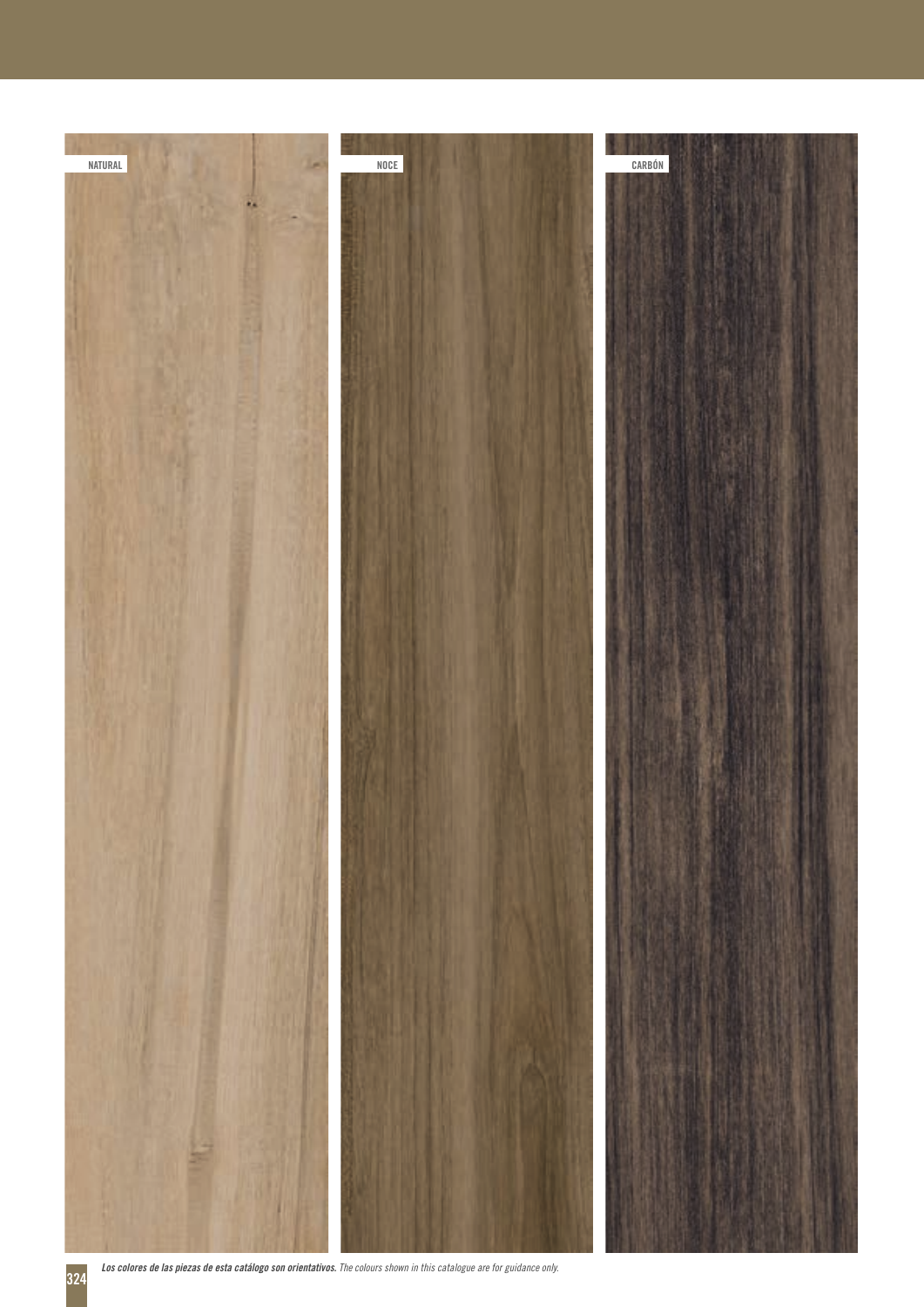

 *Los colores de las piezas de esta catálogo son orientativos. The colours shown in this catalogue are for guidance only.*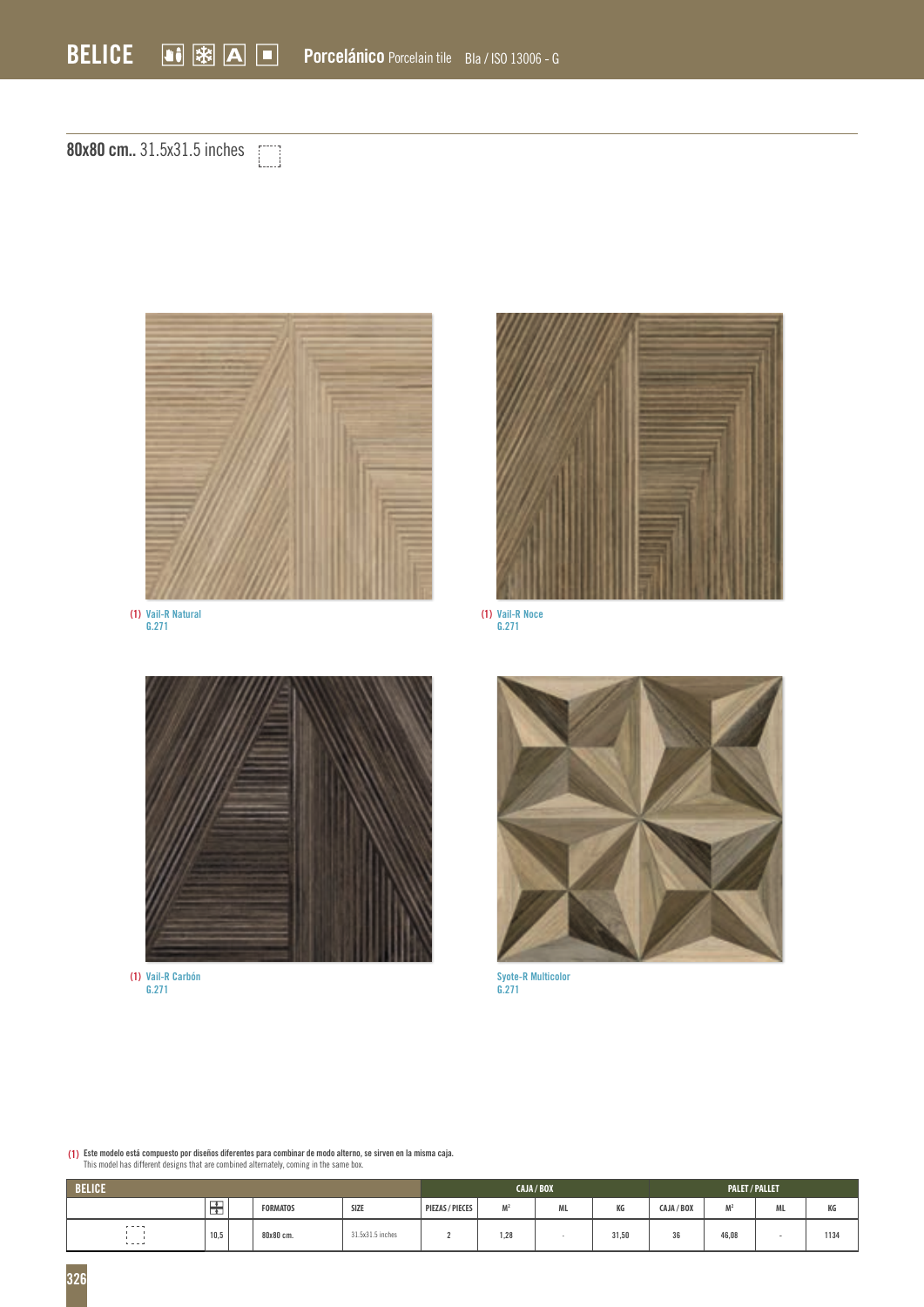**80x80 cm..** 31.5x31.5 inches



**Vail-R Natural G.271 (1) (1)**



**Vail-R Noce G.271**



**Vail-R Carbón G.271 (1)**



**Syote-R Multicolor G.271**

**(1) Este modelo está compuesto por diseños diferentes para combinar de modo alterno, se sirven en la misma caja.** This model has different designs that are combined alternately, coming in the same box.

| <b>BELICE</b>           |        |  |                 |                  |                 |                | CAJA/BOX | <b>PALET/PALLET</b> |            |                |                 |      |
|-------------------------|--------|--|-----------------|------------------|-----------------|----------------|----------|---------------------|------------|----------------|-----------------|------|
|                         | ஈ<br>≖ |  | <b>FORMATOS</b> | SIZE             | PIEZAS / PIECES | M <sup>2</sup> | ML.      | KG                  | CAJA / BOX | M <sup>2</sup> | A4<br><b>ML</b> | KG   |
| $r = -1$<br>$1 - 1 - 1$ | 10,5   |  | 80x80 cm.       | 31.5x31.5 inches |                 | 1.20<br>1,28   |          | 31,50               | 36         | 46,08          | ×               | 1134 |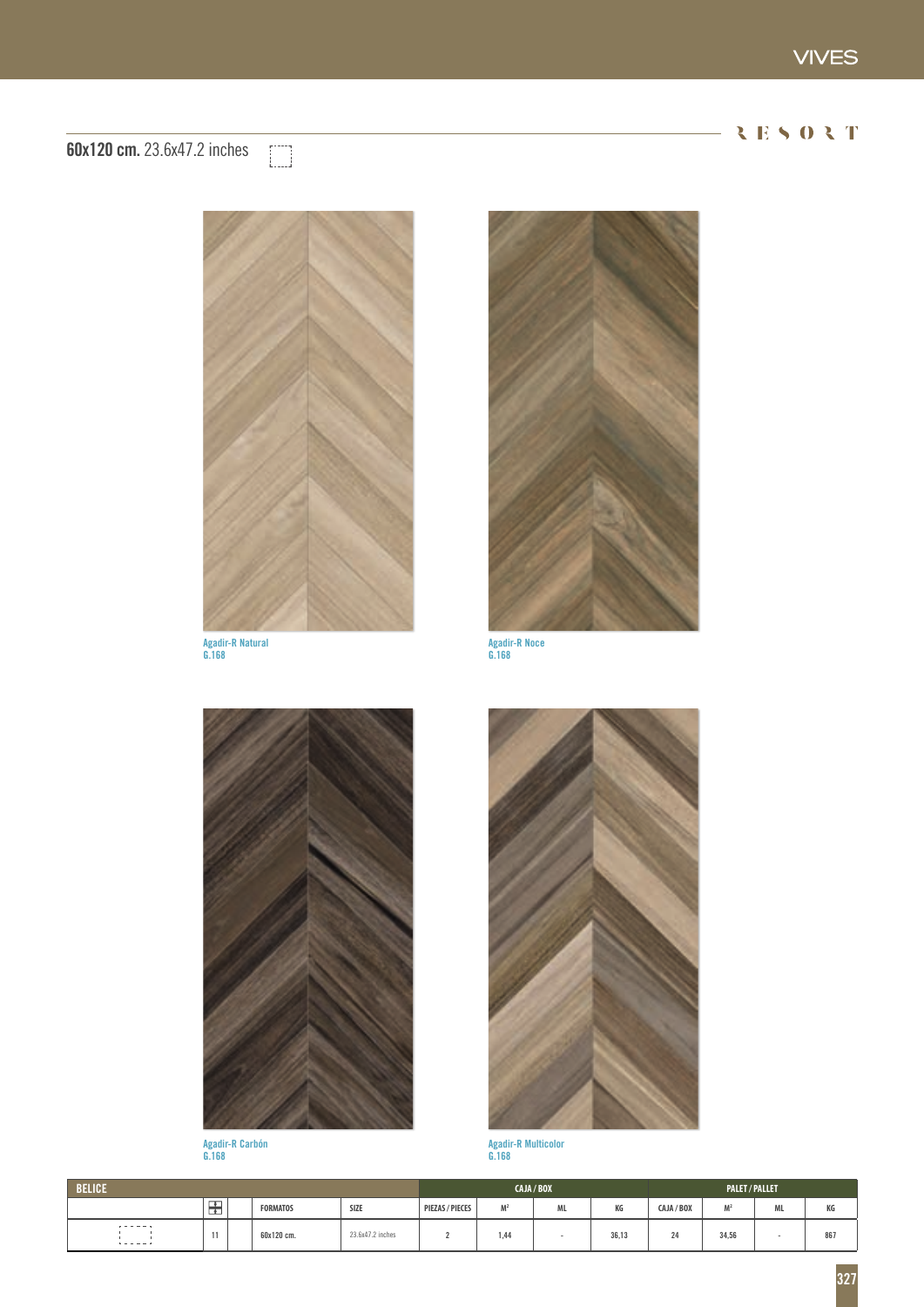## RESORT

## **60x120 cm.** 23.6x47.2 inches



**Agadir-R Natural G.168**



**Agadir-R Noce G.168**



**Agadir-R Carbón G.168**



**Agadir-R Multicolor G.168**

| <b>BELICE</b>                    |           |  |                 |                                    |                 |                | CAJA / BOX | <b>PALET/PALLET</b> |            |           |           |     |
|----------------------------------|-----------|--|-----------------|------------------------------------|-----------------|----------------|------------|---------------------|------------|-----------|-----------|-----|
|                                  | டா<br>ىغا |  | <b>FORMATOS</b> | SIZE<br>the company of the company | PIEZAS / PIECES | M <sub>2</sub> | ML         | КG                  | CAJA / BOX | <b>M2</b> | <b>ML</b> | КG  |
| $- - - - - -$<br>$1 - 1 - 1 - 1$ | <br>. .   |  | 60x120 cm.      | 23.6x47.2 inches                   |                 | 1.44           |            | 36,13               | 24         | 34,56     |           | 867 |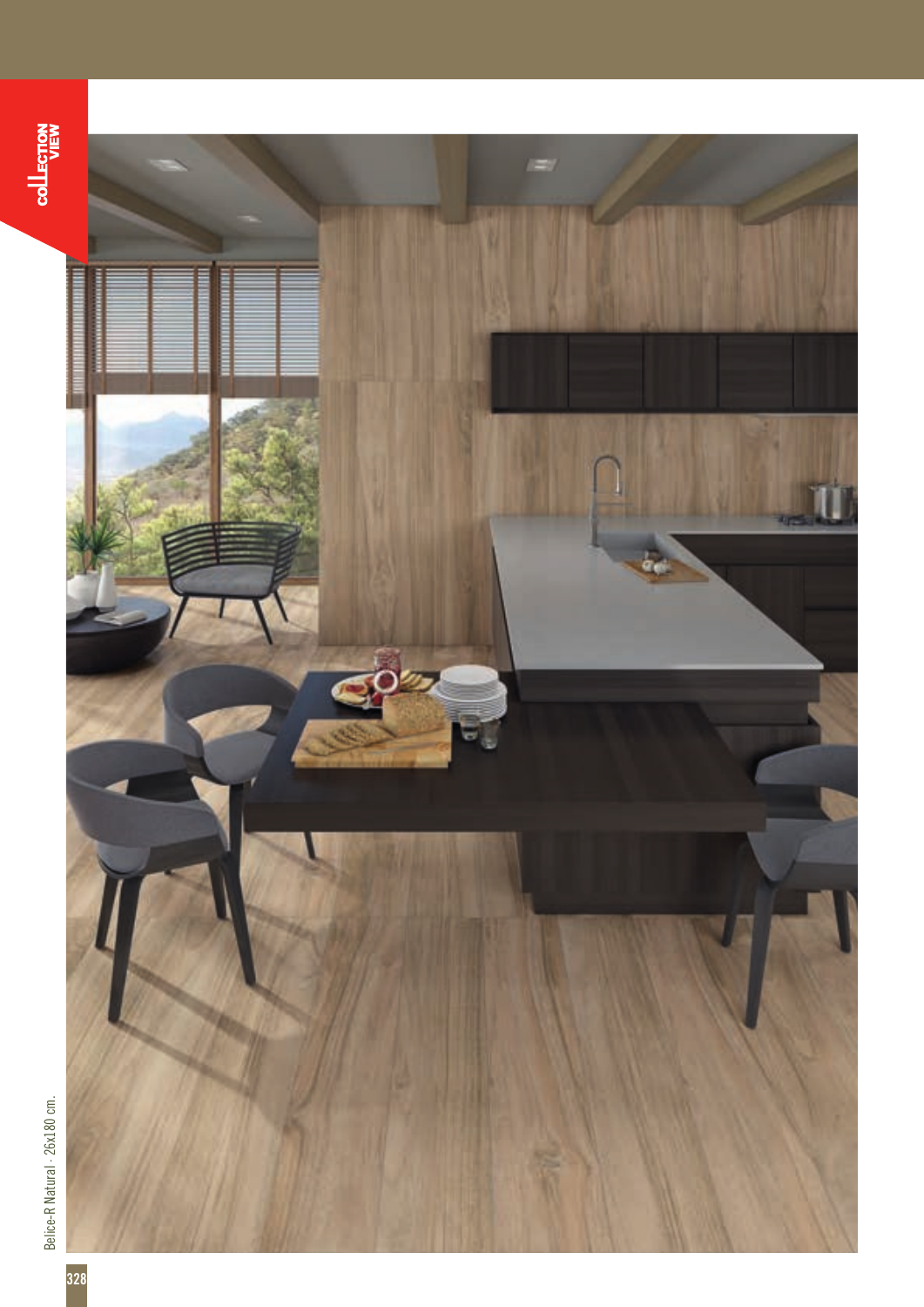

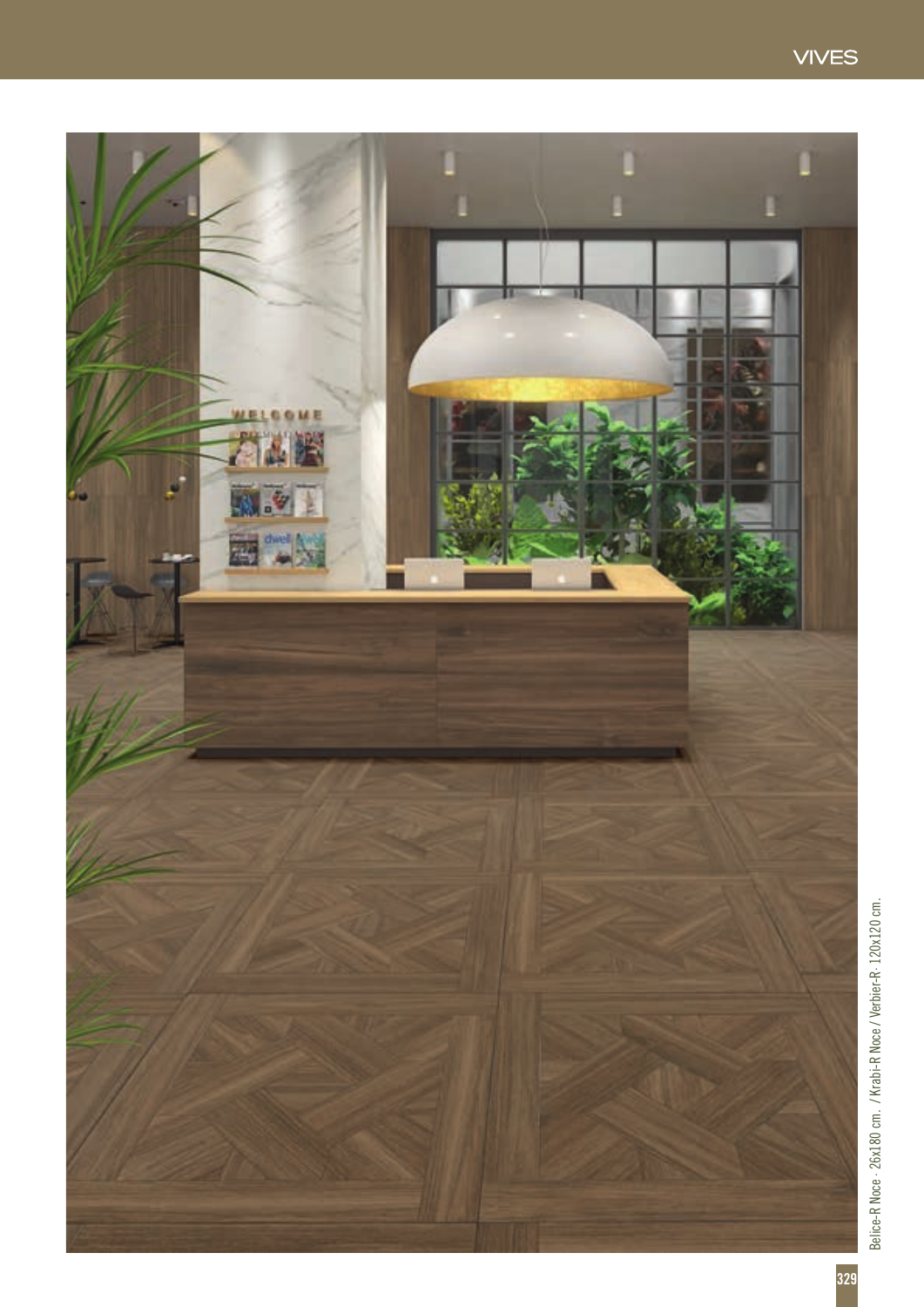



Belice-R Noce · 26x180 cm. / Krabi-R Noce / Verbier-R· 120x120 cm. Belice-R Noce - 26x180 cm. / Krabi-R Noce / Verbier-R - 120x120 cm.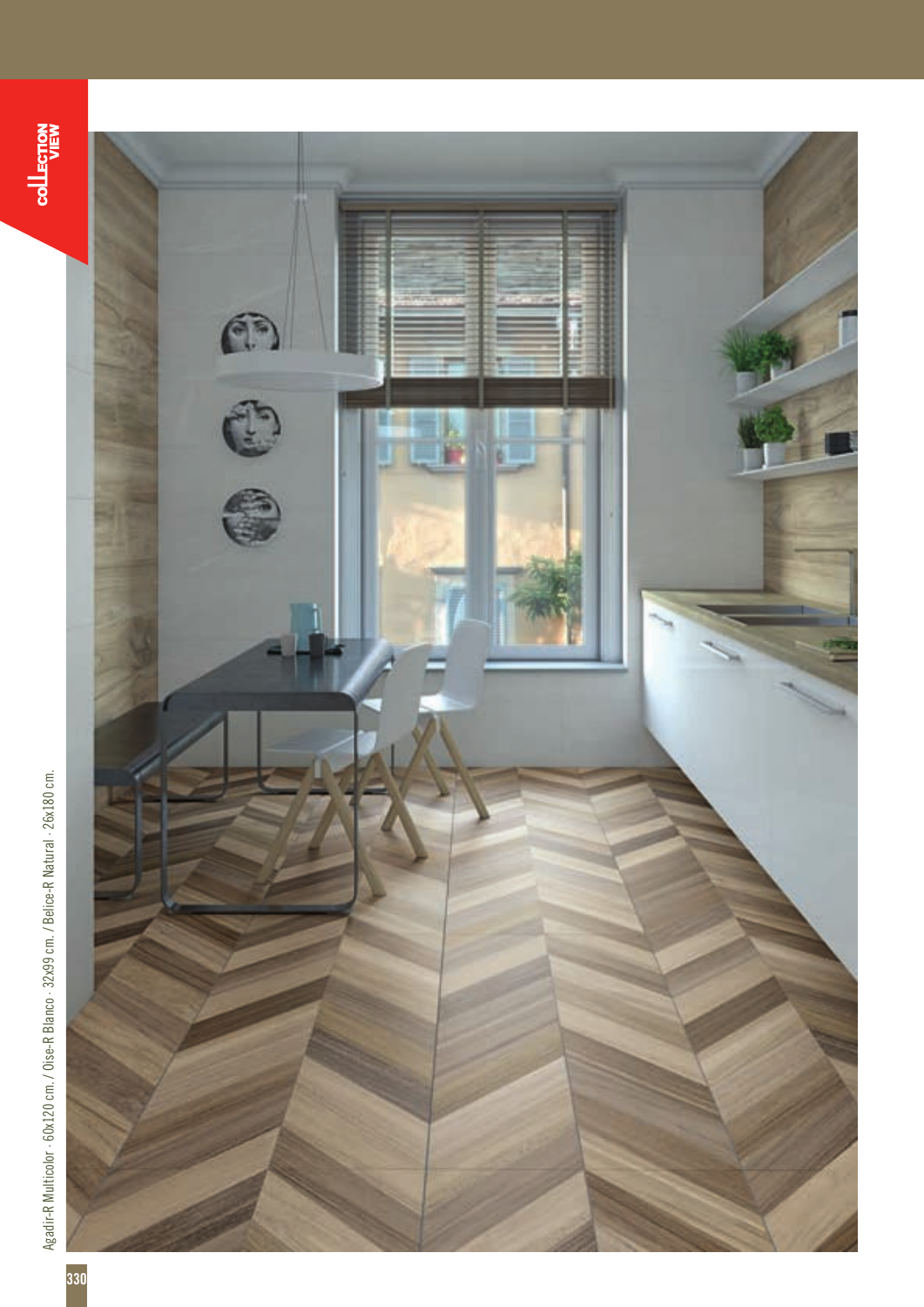